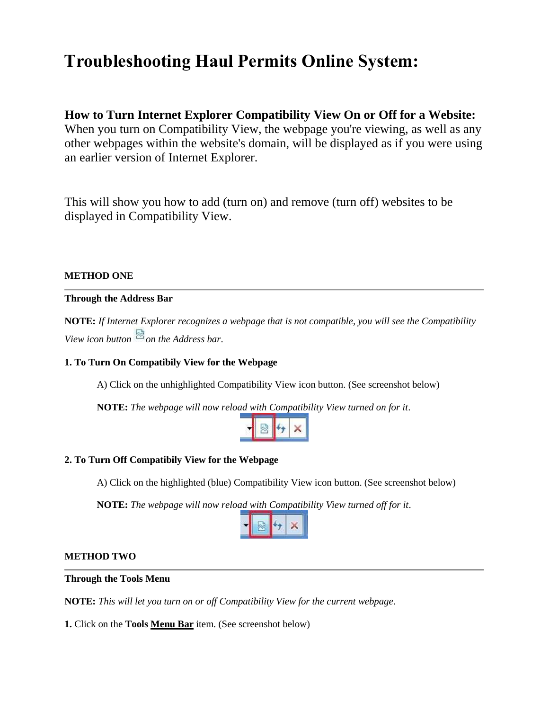# **Troubleshooting Haul Permits Online System:**

# **How to Turn Internet Explorer Compatibility View On or Off for a Website:**  When you turn on Compatibility View, the webpage you're viewing, as well as any

other webpages within the website's domain, will be displayed as if you were using an earlier version of Internet Explorer.

This will show you how to add (turn on) and remove (turn off) websites to be displayed in Compatibility View.

## **METHOD ONE**

## **Through the Address Bar**

**NOTE:** *If Internet Explorer recognizes a webpage that is not compatible, you will see the Compatibility View icon button*  $\triangle$  *on the Address bar.* 

## **1. To Turn On Compatibily View for the Webpage**

A) Click on the unhighlighted Compatibility View icon button. (See screenshot below)

**NOTE:** *The webpage will now reload with Compatibility View turned on for it*.

|--|--|--|--|

## **2. To Turn Off Compatibily View for the Webpage**

A) Click on the highlighted (blue) Compatibility View icon button. (See screenshot below)

**NOTE:** *The webpage will now reload with Compatibility View turned off for it*.



#### **METHOD TWO**

#### **Through the Tools Menu**

**NOTE:** *This will let you turn on or off Compatibility View for the current webpage*.

**1.** Click on the **Tools [Menu Bar](http://www.sevenforums.com/tutorials/517-menu-bar-turn-off.html)** item. (See screenshot below)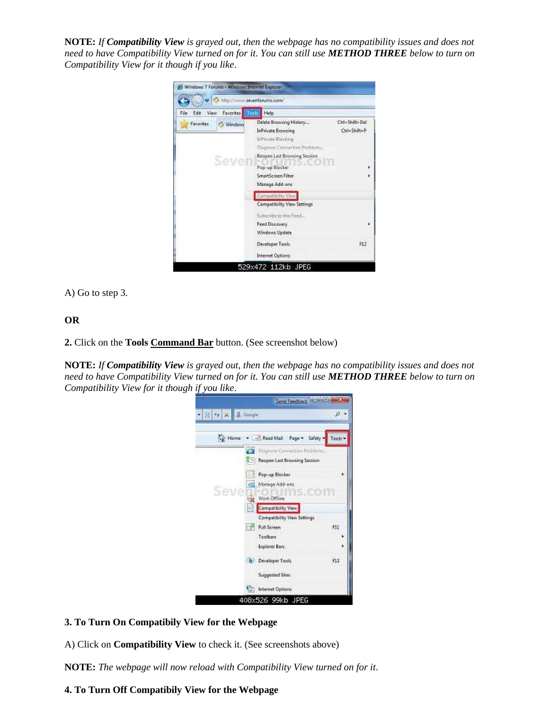**NOTE:** *If Compatibility View is grayed out, then the webpage has no compatibility issues and does not need to have Compatibility View turned on for it. You can still use METHOD THREE below to turn on Compatibility View for it though if you like*.



A) Go to step 3.

## **OR**

**2.** Click on the **Tools [Command Bar](http://www.sevenforums.com/tutorials/1048-internet-explorer-command-bar-add-remove.html)** button. (See screenshot below)

**NOTE:** *If Compatibility View is grayed out, then the webpage has no compatibility issues and does not need to have Compatibility View turned on for it. You can still use METHOD THREE below to turn on Compatibility View for it though if you like*.



#### **3. To Turn On Compatibily View for the Webpage**

A) Click on **Compatibility View** to check it. (See screenshots above)

**NOTE:** *The webpage will now reload with Compatibility View turned on for it*.

## **4. To Turn Off Compatibily View for the Webpage**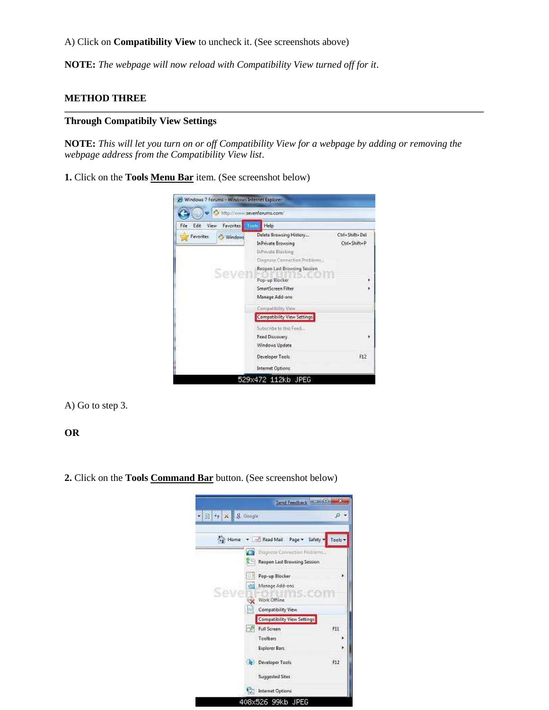#### A) Click on **Compatibility View** to uncheck it. (See screenshots above)

**NOTE:** *The webpage will now reload with Compatibility View turned off for it*.

#### **METHOD THREE**

#### **Through Compatibily View Settings**

**NOTE:** *This will let you turn on or off Compatibility View for a webpage by adding or removing the webpage address from the Compatibility View list*.

**1.** Click on the **Tools [Menu Bar](http://www.sevenforums.com/tutorials/517-menu-bar-turn-off.html)** item. (See screenshot below)

| Favorites   Tool:<br>File<br>Edit<br>View | Help                                                                                                                                 |                                |
|-------------------------------------------|--------------------------------------------------------------------------------------------------------------------------------------|--------------------------------|
| Favorities<br>/Windows                    | Delete Browsing History<br>InPrivate Browsing<br>InPrivate Blocking<br>Disanose Connection Problems.<br>Reopen Last Browsing Session | Ctrl+Shift+Del<br>Ctrl+Shift+P |
|                                           | Pop-up Blocker<br>SmartScreen Filter<br>Manage Add-ons                                                                               |                                |
|                                           | Compatibility View.<br>Compatibility View Settings                                                                                   |                                |
|                                           | Subscribe to this Feed<br>Feed Discovery<br>Windows Update                                                                           |                                |
|                                           | Developer Tools                                                                                                                      | F12                            |
|                                           | Internet Options                                                                                                                     |                                |

A) Go to step 3.

#### **OR**

**2.** Click on the **Tools [Command Bar](http://www.sevenforums.com/tutorials/1048-internet-explorer-command-bar-add-remove.html)** button. (See screenshot below)